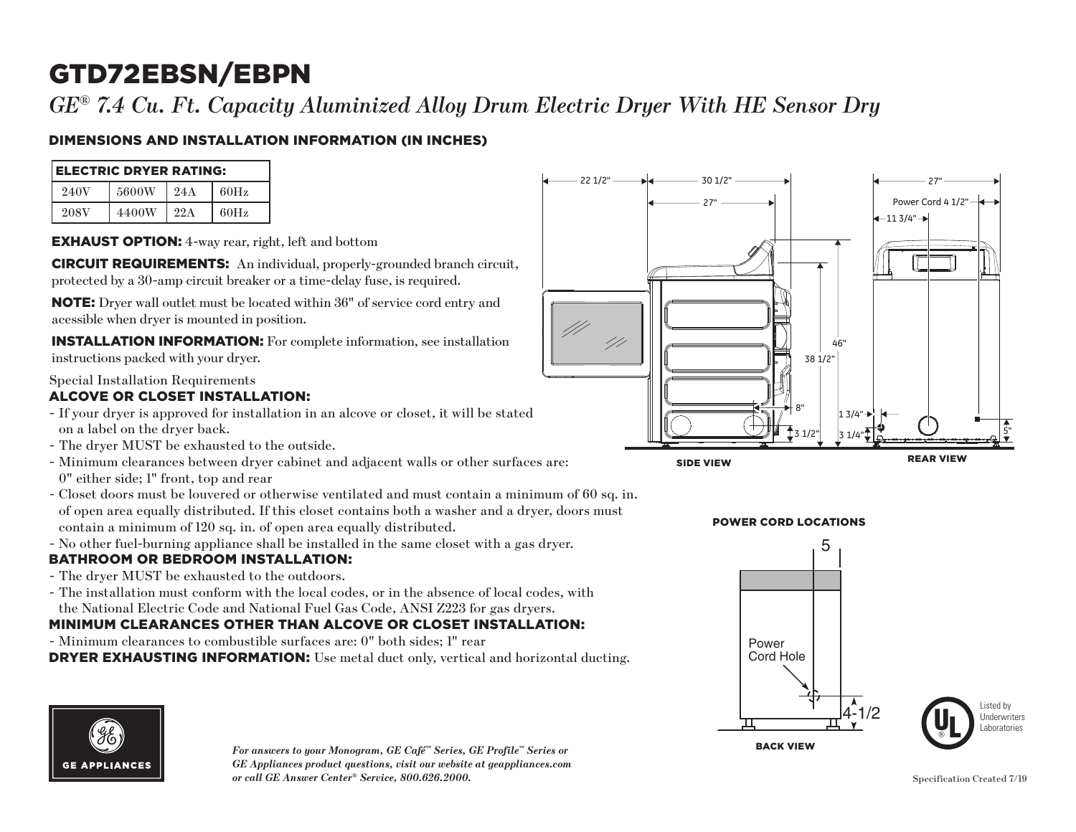# GTD72EBSN/EBPN

*GE® 7.4 Cu. Ft. Capacity Aluminized Alloy Drum Electric Dryer With HE Sensor Dry*

## DIMENSIONS AND INSTALLATION INFORMATION (IN INCHES)

| <b> ELECTRIC DRYER RATING:</b> |       |     |      |
|--------------------------------|-------|-----|------|
| 240V                           | 5600W | 24A | 60Hz |
| 208V                           | 4400W | 22A | 60Hz |

EXHAUST OPTION: 4-way rear, right, left and bottom

CIRCUIT REQUIREMENTS: An individual, properly-grounded branch circuit, protected by a 30-amp circuit breaker or a time-delay fuse, is required.

NOTE: Dryer wall outlet must be located within 36" of service cord entry and acessible when dryer is mounted in position.

INSTALLATION INFORMATION: For complete information, see installation instructions packed with your dryer.

Special Installation Requirements

#### ALCOVE OR CLOSET INSTALLATION:

- If your dryer is approved for installation in an alcove or closet, it will be stated on a label on the dryer back.
- The dryer MUST be exhausted to the outside.
- Minimum clearances between dryer cabinet and adjacent walls or other surfaces are: 0" either side; 1" front, top and rear
- of open area equally distributed. If this closet contains both a washer and a dryer, doors must - Closet doors must be louvered or otherwise ventilated and must contain a minimum of 60 sq. in. contain a minimum of 120 sq. in. of open area equally distributed.
- 2 No other fuel-burning appliance shall be installed in the same closet with a gas dryer.

### BATHROOM OR BEDROOM INSTALLATION:

- The dryer MUST be exhausted to the outdoors.
- The installation must conform with the local codes, or in the absence of local codes, with the National Electric Code and National Fuel Gas Code, ANSI Z223 for gas dryers.

### MINIMUM CLEARANCES OTHER THAN ALCOVE OR CLOSET INSTALLATION:

- Minimum clearances to combustible surfaces are: 0" both sides; 1" rear

DRYER EXHAUSTING INFORMATION: Use metal duct only, vertical and horizontal ducting.



*For answers to your Monogram, GE Café™ Series, GE Profile™ Series or*  Back View *GE Appliances product questions, visit our website at geappliances.com or call GE Answer Center® Service, 800.626.2000.*







Listed by Underwriters Laboratories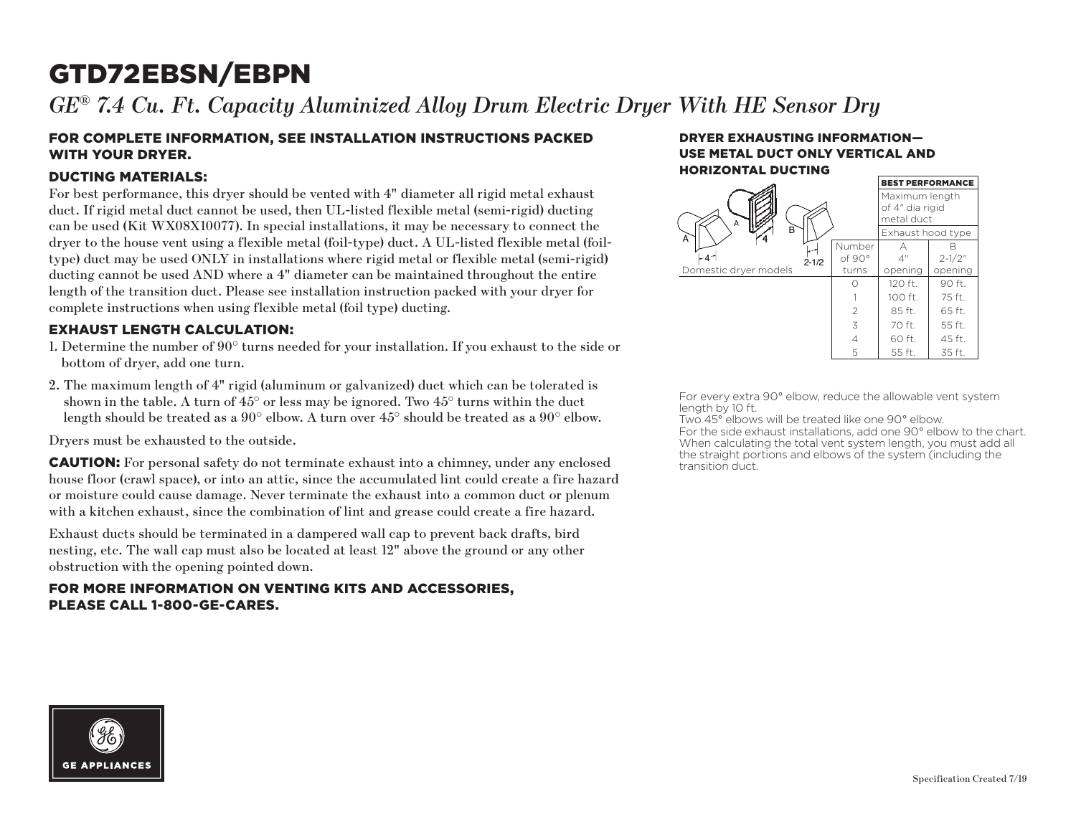# GTD72EBSN/EBPN

*GE® 7.4 Cu. Ft. Capacity Aluminized Alloy Drum Electric Dryer With HE Sensor Dry*

#### FOR COMPLETE INFORMATION, SEE INSTALLATION INSTRUCTIONS PACKED WITH YOUR DRYER.

#### DUCTING MATERIALS:

For best performance, this dryer should be vented with 4" diameter all rigid metal exhaust duct. If rigid metal duct cannot be used, then UL-listed flexible metal (semi-rigid) ducting can be used (Kit WX08X10077). In special installations, it may be necessary to connect the dryer to the house vent using a flexible metal (foil-type) duct. A UL-listed flexible metal (foiltype) duct may be used ONLY in installations where rigid metal or flexible metal (semi-rigid) ducting cannot be used AND where a 4" diameter can be maintained throughout the entire length of the transition duct. Please see installation instruction packed with your dryer for complete instructions when using flexible metal (foil type) ducting.

#### EXHAUST LENGTH CALCULATION:

- 1. Determine the number of 90° turns needed for your installation. If you exhaust to the side or bottom of dryer, add one turn.
- 2. The maximum length of 4" rigid (aluminum or galvanized) duct which can be tolerated is shown in the table. A turn of  $45^{\circ}$  or less may be ignored. Two  $45^{\circ}$  turns within the duct length should be treated as a 90° elbow. A turn over 45° should be treated as a 90° elbow.

Dryers must be exhausted to the outside.

CAUTION: For personal safety do not terminate exhaust into a chimney, under any enclosed house floor (crawl space), or into an attic, since the accumulated lint could create a fire hazard or moisture could cause damage. Never terminate the exhaust into a common duct or plenum with a kitchen exhaust, since the combination of lint and grease could create a fire hazard.

Exhaust ducts should be terminated in a dampered wall cap to prevent back drafts, bird nesting, etc. The wall cap must also be located at least 12" above the ground or any other obstruction with the opening pointed down.

#### FOR MORE INFORMATION ON VENTING KITS AND ACCESSORIES, PLEASE CALL 1-800-GE-CARES.

#### DRYER EXHAUSTING INFORMATION— USE METAL DUCT ONLY VERTICAL AND HORIZONTAL DUCTING



For every extra 90° elbow, reduce the allowable vent system length by 10 ft.

Two 45° elbows will be treated like one 90° elbow. For the side exhaust installations, add one 90° elbow to the chart. When calculating the total vent system length, you must add all the straight portions and elbows of the system (including the transition duct.